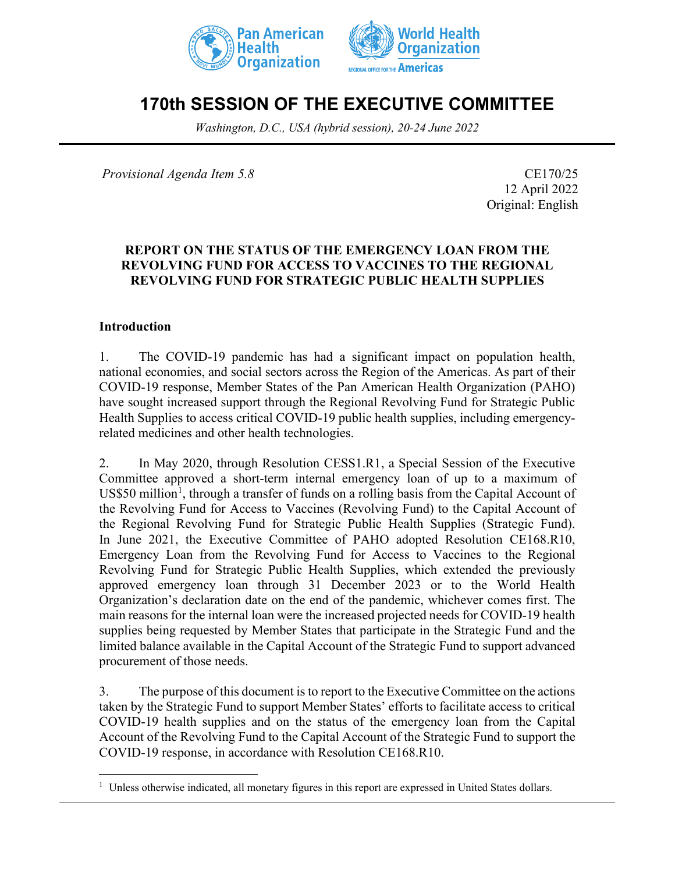



# **170th SESSION OF THE EXECUTIVE COMMITTEE**

*Washington, D.C., USA (hybrid session), 20-24 June 2022*

*Provisional Agenda Item 5.8* CE170/25

12 April 2022 Original: English

## **REPORT ON THE STATUS OF THE EMERGENCY LOAN FROM THE REVOLVING FUND FOR ACCESS TO VACCINES TO THE REGIONAL REVOLVING FUND FOR STRATEGIC PUBLIC HEALTH SUPPLIES**

#### **Introduction**

1. The COVID-19 pandemic has had a significant impact on population health, national economies, and social sectors across the Region of the Americas. As part of their COVID-19 response, Member States of the Pan American Health Organization (PAHO) have sought increased support through the Regional Revolving Fund for Strategic Public Health Supplies to access critical COVID-19 public health supplies, including emergencyrelated medicines and other health technologies.

2. In May 2020, through Resolution CESS1.R1, a Special Session of the Executive Committee approved a short-term internal emergency loan of up to a maximum of US\$50 million<sup>[1](#page-0-0)</sup>, through a transfer of funds on a rolling basis from the Capital Account of the Revolving Fund for Access to Vaccines (Revolving Fund) to the Capital Account of the Regional Revolving Fund for Strategic Public Health Supplies (Strategic Fund). In June 2021, the Executive Committee of PAHO adopted Resolution CE168.R10, Emergency Loan from the Revolving Fund for Access to Vaccines to the Regional Revolving Fund for Strategic Public Health Supplies, which extended the previously approved emergency loan through 31 December 2023 or to the World Health Organization's declaration date on the end of the pandemic, whichever comes first. The main reasons for the internal loan were the increased projected needs for COVID-19 health supplies being requested by Member States that participate in the Strategic Fund and the limited balance available in the Capital Account of the Strategic Fund to support advanced procurement of those needs.

3. The purpose of this document is to report to the Executive Committee on the actions taken by the Strategic Fund to support Member States' efforts to facilitate access to critical COVID-19 health supplies and on the status of the emergency loan from the Capital Account of the Revolving Fund to the Capital Account of the Strategic Fund to support the COVID-19 response, in accordance with Resolution CE168.R10.

<span id="page-0-0"></span> $1$  Unless otherwise indicated, all monetary figures in this report are expressed in United States dollars.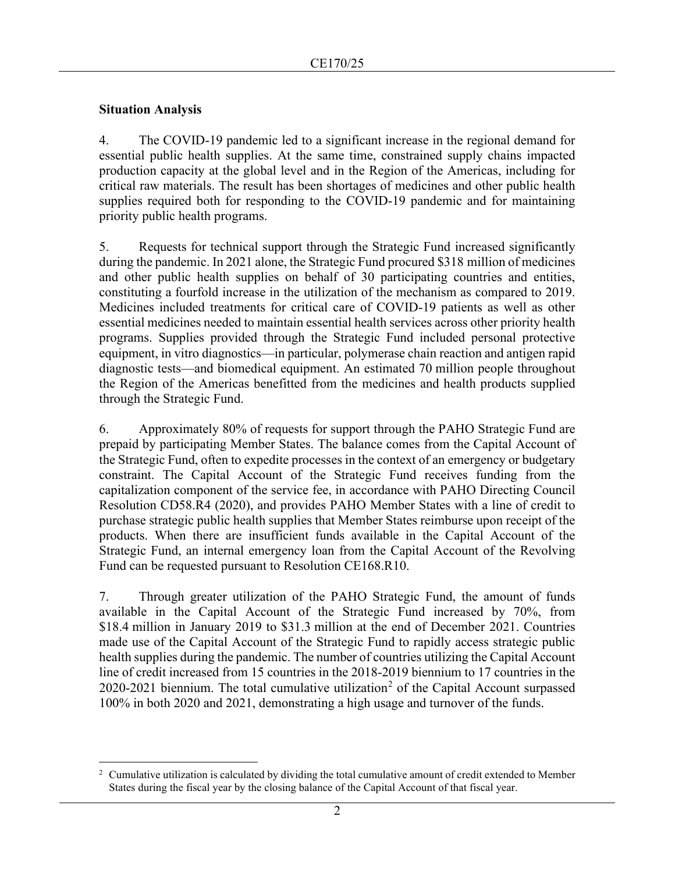# **Situation Analysis**

4. The COVID-19 pandemic led to a significant increase in the regional demand for essential public health supplies. At the same time, constrained supply chains impacted production capacity at the global level and in the Region of the Americas, including for critical raw materials. The result has been shortages of medicines and other public health supplies required both for responding to the COVID-19 pandemic and for maintaining priority public health programs.

5. Requests for technical support through the Strategic Fund increased significantly during the pandemic. In 2021 alone, the Strategic Fund procured \$318 million of medicines and other public health supplies on behalf of 30 participating countries and entities, constituting a fourfold increase in the utilization of the mechanism as compared to 2019. Medicines included treatments for critical care of COVID-19 patients as well as other essential medicines needed to maintain essential health services across other priority health programs. Supplies provided through the Strategic Fund included personal protective equipment, in vitro diagnostics—in particular, polymerase chain reaction and antigen rapid diagnostic tests—and biomedical equipment. An estimated 70 million people throughout the Region of the Americas benefitted from the medicines and health products supplied through the Strategic Fund.

6. Approximately 80% of requests for support through the PAHO Strategic Fund are prepaid by participating Member States. The balance comes from the Capital Account of the Strategic Fund, often to expedite processes in the context of an emergency or budgetary constraint. The Capital Account of the Strategic Fund receives funding from the capitalization component of the service fee, in accordance with PAHO Directing Council Resolution CD58.R4 (2020), and provides PAHO Member States with a line of credit to purchase strategic public health supplies that Member States reimburse upon receipt of the products. When there are insufficient funds available in the Capital Account of the Strategic Fund, an internal emergency loan from the Capital Account of the Revolving Fund can be requested pursuant to Resolution CE168.R10.

7. Through greater utilization of the PAHO Strategic Fund, the amount of funds available in the Capital Account of the Strategic Fund increased by 70%, from \$18.4 million in January 2019 to \$31.3 million at the end of December 2021. Countries made use of the Capital Account of the Strategic Fund to rapidly access strategic public health supplies during the pandemic. The number of countries utilizing the Capital Account line of credit increased from 15 countries in the 2018-2019 biennium to 17 countries in the [2](#page-1-0)020-2021 biennium. The total cumulative utilization<sup>2</sup> of the Capital Account surpassed 100% in both 2020 and 2021, demonstrating a high usage and turnover of the funds.

<span id="page-1-0"></span> $2$  Cumulative utilization is calculated by dividing the total cumulative amount of credit extended to Member States during the fiscal year by the closing balance of the Capital Account of that fiscal year.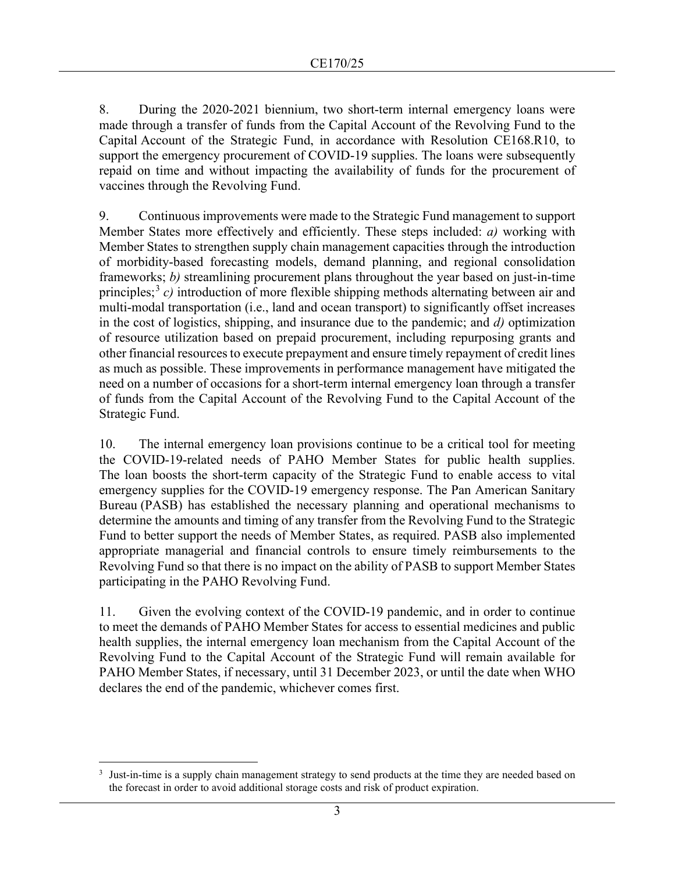8. During the 2020-2021 biennium, two short-term internal emergency loans were made through a transfer of funds from the Capital Account of the Revolving Fund to the Capital Account of the Strategic Fund, in accordance with Resolution CE168.R10, to support the emergency procurement of COVID-19 supplies. The loans were subsequently repaid on time and without impacting the availability of funds for the procurement of vaccines through the Revolving Fund.

9. Continuous improvements were made to the Strategic Fund management to support Member States more effectively and efficiently. These steps included: *a)* working with Member States to strengthen supply chain management capacities through the introduction of morbidity-based forecasting models, demand planning, and regional consolidation frameworks; *b)* streamlining procurement plans throughout the year based on just-in-time principles; [3](#page-2-0) *c)* introduction of more flexible shipping methods alternating between air and multi-modal transportation (i.e., land and ocean transport) to significantly offset increases in the cost of logistics, shipping, and insurance due to the pandemic; and *d)* optimization of resource utilization based on prepaid procurement, including repurposing grants and other financial resources to execute prepayment and ensure timely repayment of credit lines as much as possible. These improvements in performance management have mitigated the need on a number of occasions for a short-term internal emergency loan through a transfer of funds from the Capital Account of the Revolving Fund to the Capital Account of the Strategic Fund.

10. The internal emergency loan provisions continue to be a critical tool for meeting the COVID-19-related needs of PAHO Member States for public health supplies. The loan boosts the short-term capacity of the Strategic Fund to enable access to vital emergency supplies for the COVID-19 emergency response. The Pan American Sanitary Bureau (PASB) has established the necessary planning and operational mechanisms to determine the amounts and timing of any transfer from the Revolving Fund to the Strategic Fund to better support the needs of Member States, as required. PASB also implemented appropriate managerial and financial controls to ensure timely reimbursements to the Revolving Fund so that there is no impact on the ability of PASB to support Member States participating in the PAHO Revolving Fund.

11. Given the evolving context of the COVID-19 pandemic, and in order to continue to meet the demands of PAHO Member States for access to essential medicines and public health supplies, the internal emergency loan mechanism from the Capital Account of the Revolving Fund to the Capital Account of the Strategic Fund will remain available for PAHO Member States, if necessary, until 31 December 2023, or until the date when WHO declares the end of the pandemic, whichever comes first.

<span id="page-2-0"></span><sup>&</sup>lt;sup>3</sup> Just-in-time is a supply chain management strategy to send products at the time they are needed based on the forecast in order to avoid additional storage costs and risk of product expiration.